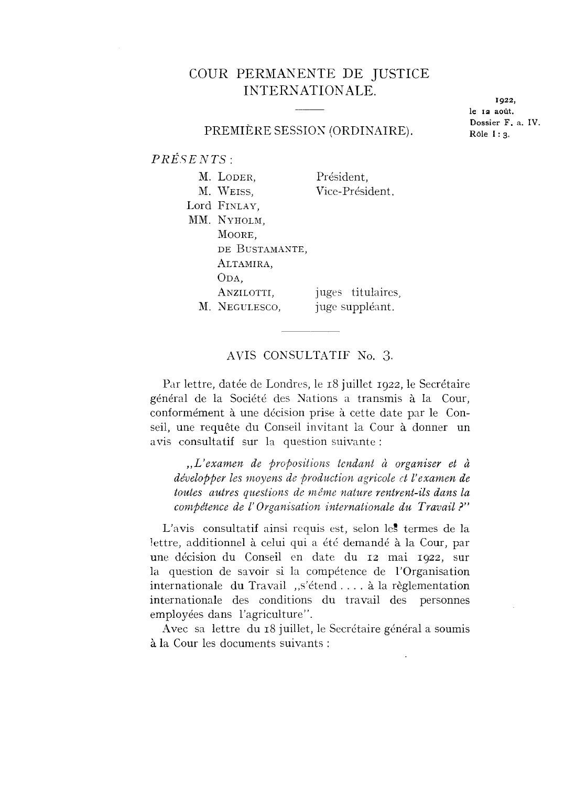# COUR PERMANENTE DE JUSTICE INTERNATIONALE.

1922, le 12 août. Dossier F. a. IV. Role I: g.

#### PREMIÈRE SESSION (ORDINAIRE).

*PRESENTS:* 

| M. LODER,      | Président,        |
|----------------|-------------------|
| M. WEISS,      | Vice-Président.   |
| Lord FINLAY,   |                   |
| MM. NYHOLM.    |                   |
| MOORE.         |                   |
| DE BUSTAMANTE, |                   |
| ALTAMIRA,      |                   |
| ODA.           |                   |
| ANZILOTTI,     | juges titulaires. |
| M. NEGULESCO,  | juge suppléant.   |

## AVIS CONSULTATIF No. 3.

Par lettre, datée de Londres, le 18 juillet 1922, le Secrétaire général de la Société des Nations a transmis à la Cour, conformement a une decision prise a cette date par le Conseil, une requête du Conseil invitant la Cour à donner un avis consultatif sur la question suivante:

, *L' examen de propositions tendant a organiser et a développer les moyens de production agricole et l'examen de toutes autres questions de meme nature rentrent-ils dans la competence de l' Organisation internationale du Travail?"* 

L'avis consultatif ainsi requis est, selon les termes de la lettre, additionnel à celui qui a été demandé à la Cour, par une decision du Conseil en date du rz mai rgzz, sur la question de savoir si la compétence de l'Organisation internationale du Travail ,s'etend .... ala reglementation internationale des conditions du travail des personnes employées dans l'agriculture".

Avec sa lettre du 18 juillet, le Secrétaire général a soumis a la Cour les documents suivants :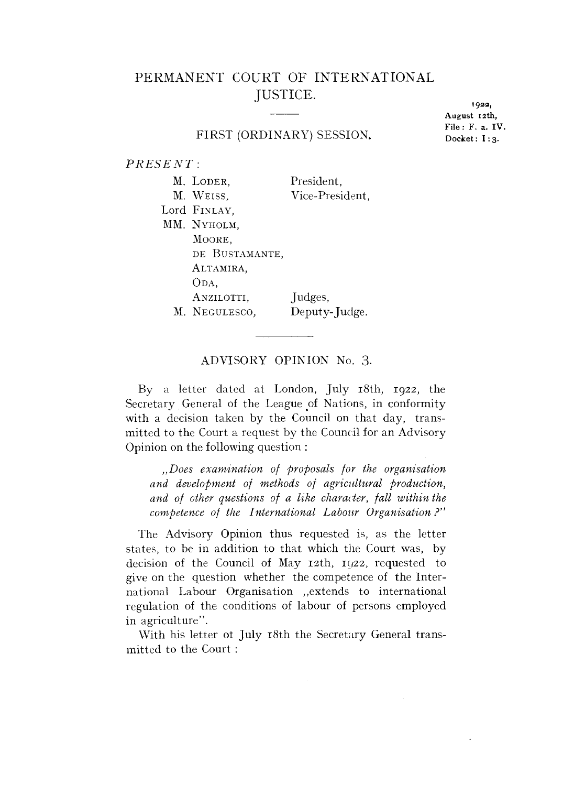# PERMANENT COURT OF INTERNATIONAL JUSTICE.

#### FIRST (ORDINARY) SESSION.

1922, August 12th, File: F. a. IV. Docket: I:3.

*PRESENT:* 

| M. LODER,      | President.      |
|----------------|-----------------|
| M. WEISS.      | Vice-President. |
| Lord FINLAY,   |                 |
| MM. NYHOLM.    |                 |
| MOORE.         |                 |
| DE BUSTAMANTE, |                 |
| ALTAMIRA,      |                 |
| ODA,           |                 |
| ANZILOTTI,     | Judges,         |
| M. NEGULESCO,  | Deputy-Judge.   |

## ADVISORY OPINION No. 3.

By a letter dated at London, July r8th, 1922, the Secretary General of the League of Nations, in conformity with a decision taken by the Council on that day, transmitted to the Court a request by the Council for an Advisory Opinion on the following question :

*,Does examination of proposals for the organisation and develot•ment of methods of agricultural production,*  and of other questions of a like character, fall within the *competence of the International Labour Organisation ?"* 

The Advisory Opinion thus requested is, as the letter states, to be in addition to that which the Court was, by decision of the Council of May 12th, 1922, requested to give on the question whether the competence of the International Labour Organisation ,extends to international regulation of the conditions of labour of persons employed in agriculture".

With his letter ot July r8th the Secretary General transmitted to the Court :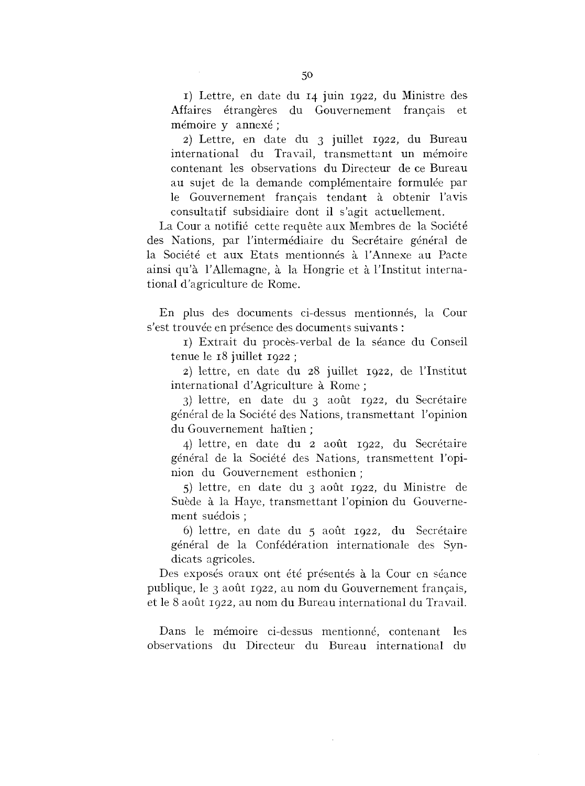1) Lettre, en date du 14 juin 1922, du Ministre des Affaires étrangères du Gouvernement français et mémoire y annexé ;

2) Lettre, en date du 3 juillet 1922, du Bureau international du Travail, transmettant un mémoire contenant les observations du Directeur de ce Bureau au sujet de la demande complémentaire formulée par le Gouvernement français tendant à obtenir l'avis consultatif subsidiaire dont il s'agit actuellement.

La Cour a notifié cette requête aux Membres de la Société des Nations, par l'intermédiaire du Secrétaire général de la Société et aux Etats mentionnés à l'Annexe au Pacte ainsi qu'à l'Allemagne, à la Hongrie et à l'Institut international d'agriculture de Rome.

En plus des documents ci-dessus mentionnés, la Cour s'est trouvée en présence des documents suivants :

1) Extrait du procès-verbal de la séance du Conseil tenue le 18 juillet 1922 ;

2) lettre, en date du 28 juillet 1922, de l'Institut international d'Agriculture à Rome ;

3) lettre, en date du 3 août 1922, du Secrétaire général de la Société des Nations, transmettant l'opinion du Gouvernement haïtien ;

4) lettre, en date du 2 août 1922, du Secrétaire général de la Société des Nations, transmettent l'opinion du Gouvernement esthonien ;

5) lettre, en date du 3 août 1922, du Ministre de Suède à la Haye, transmettant l'opinion du Gouvernement suédois ;

6) lettre, en date du  $\frac{1}{2}$  août 1922, du Secrétaire général de la Confédération internationale des Syndicats agricoles.

Des exposés oraux ont été présentés à la Cour en séance publique, le 3 août 1922, au nom du Gouvernement français, et le 8 août 1922, au nom du Bureau international du Travail.

Dans le mémoire ci-dessus mentionné, contenant les observations du Directeur du Bureau international du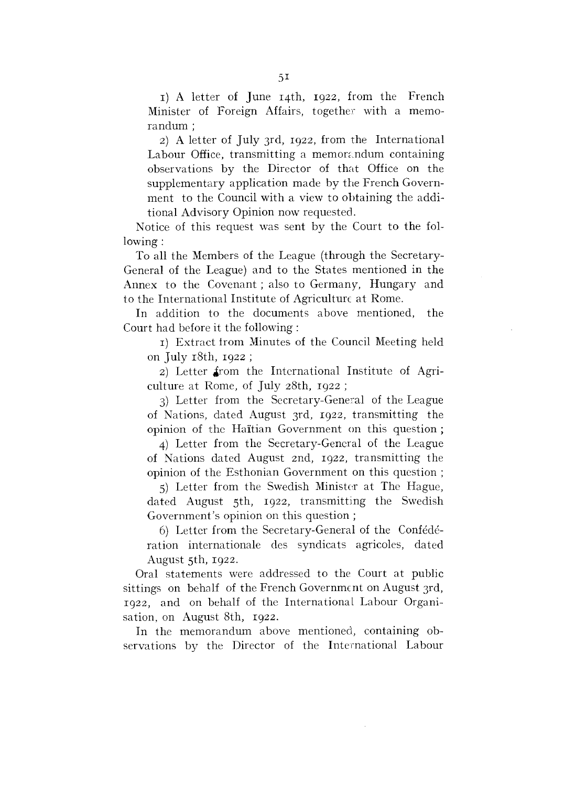r) A letter of June 14th, rgzz, from the French Minister of Foreign Affairs, together with a memorandum;

z) A letter of July 3rd, rgzz, from the International Labour Office, transmitting a memorandum containing observations by the Director of that Office on the supplementary application made by the French Government to the Council with a view to obtaining the additional Advisory Opinion now requested.

Notice of this request was sent by the Court to the following:

To all the Members of the League (through the Secretary-General of the League) and to the States mentioned in the Annex to the Covenant; also to Germany, Hungary and to the International Institute of Agriculture at Rome.

In addition to the documents above mentioned, the Court had before it the following:

1) Extract from Minutes of the Council Meeting held on July r8th, rgzz;

 $2)$  Letter from the International Institute of Agriculture at Rome, of July  $28th$ , 1922;

3) Letter from the Secretary-General of the League of Nations, dated August 3rd, rgzz, transmitting the opinion of the Haitian Government on this question ;

4) Letter from the Secretary-General of the League of Nations dated August znd, rgzz, transmitting the opinion of the Esthonian Government on this question ;

5) Letter from the Swedish Minister at The Hague, dated August 5th, 1922, transmitting the Swedish Government's opinion on this question ;

6) Letter from the Secretary-General of the Confederation internationale des syndicats agricoles, dated August 5th, 1922.

Oral statements were addressed to the Court at public sittings on behalf of the French Government on August 3rd, rgzz, and on behalf of the International Labour Organisation, on August 8th, 1922.

In the memorandum above mentioned, containing observations by the Director of the Intemational Labour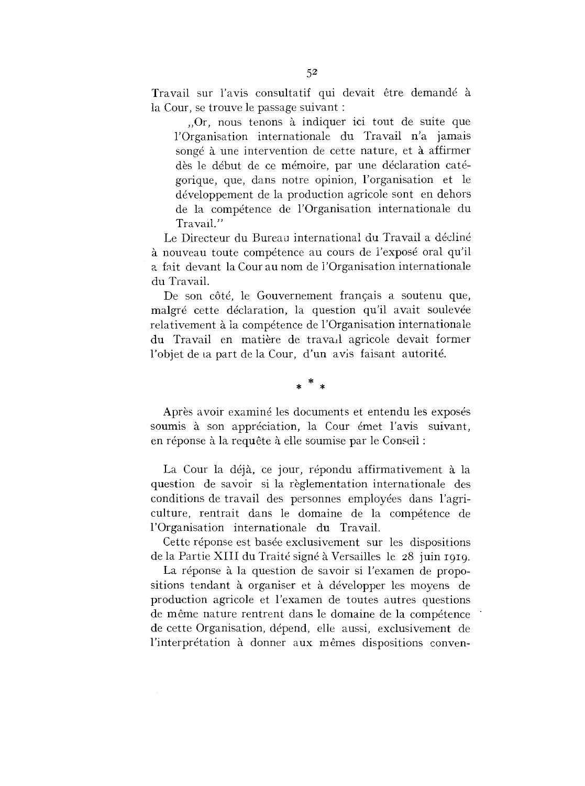Travail sur l'avis consultatif qui devait être demandé à la Cour, se trouve le passage suivant :

,Or, nous tenons a indiquer ici tout de suite que !'Organisation internationale du Travail n'a jamais songé à une intervention de cette nature, et à affirmer dès le début de ce mémoire, par une déclaration catégorique, que, dans notre opinion, !'organisation et le developpement de la production agricole sont en dehors de la competence de !'Organisation internationale du Travail."

Le Directeur du Bureau international du Travail a décliné à nouveau toute compétence au cours de l'exposé oral qu'il 2. fait devant la Cour au nom de l'Organisation internationale du Travail.

De son côté, le Gouvernement français a soutenu que, malgré cette déclaration, la question qu'il avait soulevée relativement à la compétence de l'Organisation internationale du Travail en matière de travail agricole devait former l'objet de la part de la Cour, d'un avis faisant autorité.

\* \* \*

Après avoir examiné les documents et entendu les exposés soumis à son appréciation, la Cour émet l'avis suivant, en réponse à la requête à elle soumise par le Conseil :

La Cour la déjà, ce jour, répondu affirmativement à la question de savoir si la reglementation internationale des conditions de travail des personnes employées dans l'agriculture, rentrait dans le domaine de la competence de !'Organisation internationale du Travail.

Cette réponse est basée exclusivement sur les dispositions de la Partie XIII du Traite signe a Versailles le 28 juin 1919.

La réponse à la question de savoir si l'examen de propositions tendant à organiser et à développer les moyens de production agricole et l'examen de toutes autres questions de même nature rentrent dans le domaine de la compétence de cette Organisation, dépend, elle aussi, exclusivement de l'interprétation à donner aux mêmes dispositions conven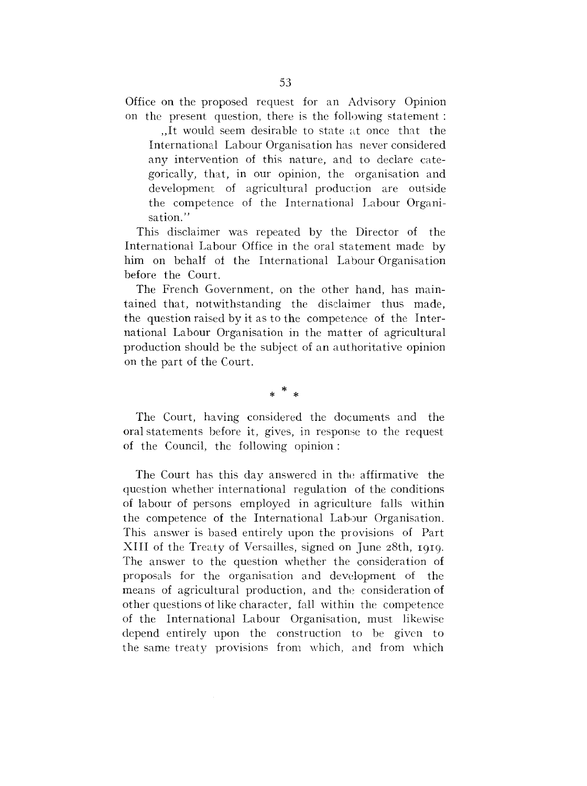Office on the proposed request for an Advisory Opinion on the present question, there is the following statement:

,It would seem desirable to state at once that the International Labour Organisation has never considered any intervention of this nature, and to declare categorically, that, in our opinion, the organisation and development of agricultural production are outside the competence of the International Labour Organisation."

This disclaimer was repeated by the Director of the International Labour Office in the oral statement made by him on behalf of the International Labour Organisation before the Court.

The French Government, on the other hand, has maintained that, notwithstanding the disclaimer thus made, the question raised by it as to the competence of the International Labour Organisation in the matter of agricultural production should be the subject of an authoritative opinion on the part of the Court.

\* \* \*

The Court, having considered the documents and the oral statements before it, gives, in response to the request of the Council, the following opinion :

The Court has this day answered in the affirmative the question whether international regulation of the conditions of labour of persons employed in agriculture falls within the competence of the International Labour Organisation. This answer is based entirely upon the provisions of Part XIII of the Treaty of Versailles, signed on June 28th, 1919. The answer to the question whether the consideration of proposals for the organisation and devdopment of the means of agricultural production, and the consideration of other questions of like character, fall within the competence of the International Labour Organisation, must likewise depend entirely upon the construction to be given to the same treaty provisions from which, and from which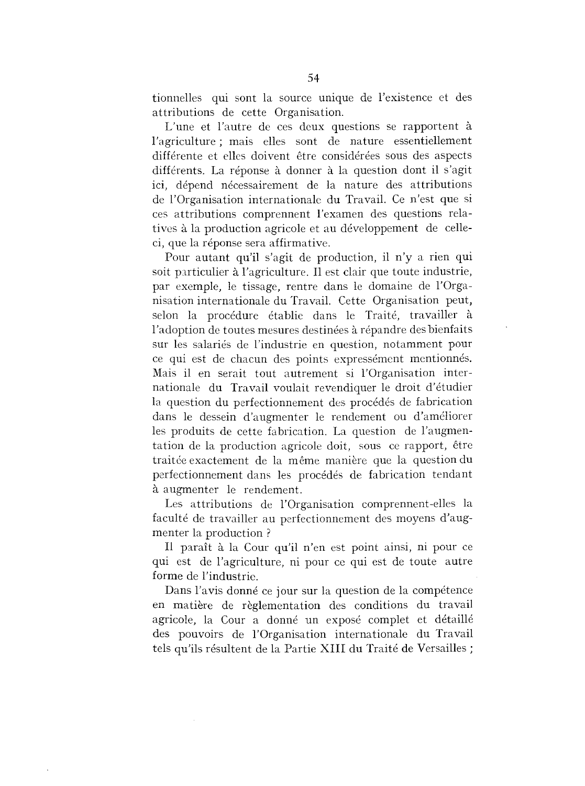tionnelles qui sont la source unique de !'existence et des attributions de cette Organisation.

L'une et l'autre de ces deux questions se rapportent à !'agriculture ; mais elles sont de nature essentiellement différente et elles doivent être considérées sous des aspects différents. La réponse à donner à la question dont il s'agit ici, dépend nécessairement de la nature des attributions de !'Organisation internationale du Travail. Ce n'est que si ces attributions comprennent l'examen des questions relatives à la production agricole et au développement de celleci, que la reponse sera affirmative.

Pour autant qu'il s'agit de production, il n'y a rien qui soit particulier à l'agriculture. Il est clair que toute industrie, par exemple, le tissage, rentre dans le domaine de !'Organisation internationale du Travail. Cette Organisation peut, selon la procédure établie dans le Traité, travailler à l'adoption de toutes mesures destinées à répandre des bienfaits sur les salaries de l'industrie en question, notamment pour ce qui est de chacun des points expressément mentionnés. Mais il en serait tout autrement si !'Organisation internationale du Travail voulait revendiquer le droit d'etudier la question du perfectionnement des procédés de fabrication dans le dessein d'augmenter le rendement ou d'ameliorer les produits de cette fabrication. La question de l'augmentation de la production agricole doit, sous ce rapport, être traitée exactement de la même manière que la question du perfectionnement dans les procedes de fabrication tendant a augmenter le rendement.

Les attributions de l'Organisation comprennent-elles la faculté de travailler au perfectionnement des moyens d'augmenter la production ?

Il paraît à la Cour qu'il n'en est point ainsi, ni pour ce qui est de !'agriculture, ni pour cc qui est de toute autre forme de l'industric.

Dans l'avis donné ce jour sur la question de la compétence en matiere de reglementation des conditions du travail agricole, la Cour a donné un exposé complet et détaillé des pouvoirs de !'Organisation internationalc du Travail tels qu'ils résultent de la Partie XIII du Traité de Versailles;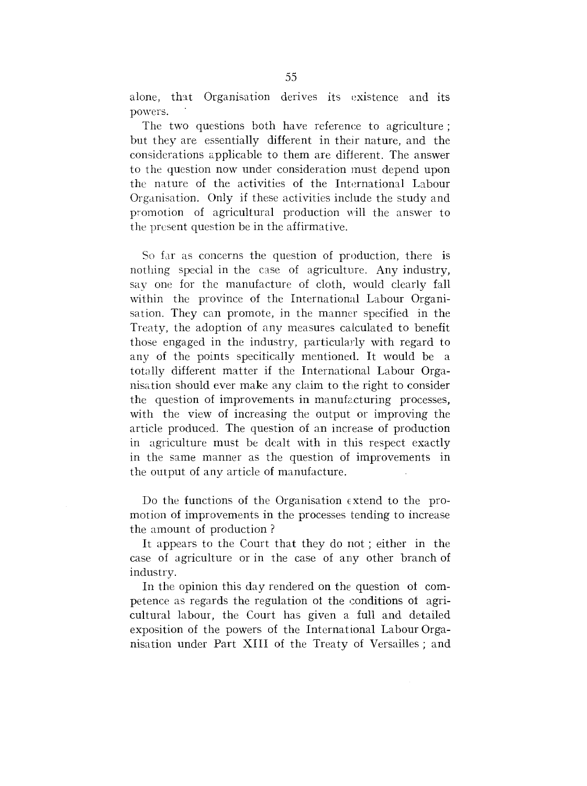alone, that Organisation derives its existence and its powers.

The two questions both have reference to agriculture ; but they are essentially different in their nature, and the considerations applicable to them are different. The answer to the question now under consideration must depend upon the nature of the activities of the International Labour Organisation. Only if these activities include the study and promotion of agricultural production will the answer to the present question be in the affirmative.

So far as concerns the question of production, there is nothing special in the case of agriculture. Any industry, say one for the manufacture of cloth, would clearly fall within the province of the International Labour Organisation. They can promote, in the manner specified in the Treaty, the adoption of any measures calculated to benefit those engaged in the industry, particularly with regard to any of the points specifically mentioned. It would be a totally different matter if the International Labour Organisation should ever make any claim to the right to consider the question of improvements in manufacturing processes, with the view of increasing the output or improving the article produced. The question of an increase of production in agriculture must be dealt with in this respect exactly in the same manner as the question of improvements in the output of any article of manufacture.

Do the functions of the Organisation extend to the promotion of improvements in the processes tending to increase the amount of production ?

It appears to the Court that they do not; either in the case of agriculture or in the case of any other branch of industry.

In the opinion this day rendered on the question of competence as regards the regulation of the conditions of agricultural labour, the Court has given a full and detailed exposition of the powers of the International Labour Organisation under Part XIII of the Treaty of Versailles; and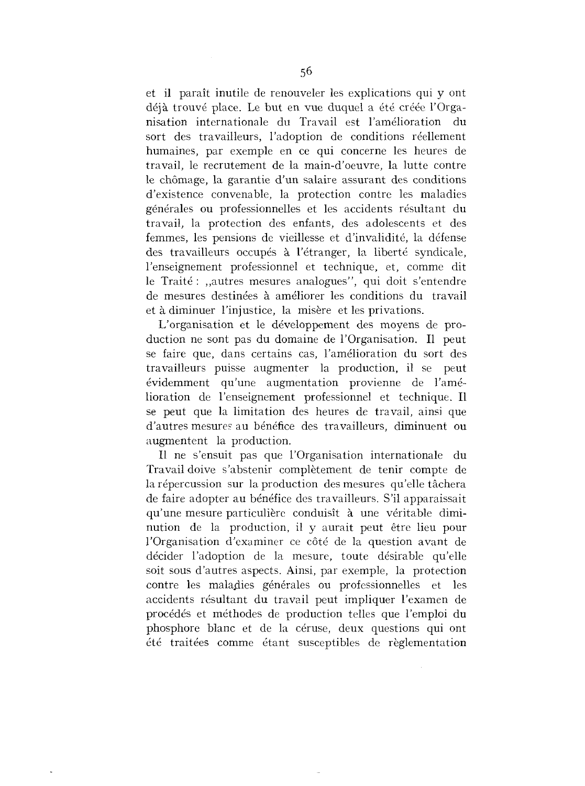*et* il parait inutile de renouveler les explications qui y ont déjà trouvé place. Le but en vue duquel a été créée l'Organisation intcrnationale du Travail est !'amelioration du sort des travailleurs, l'adoption de conditions réellement humaines, par exemple en ce qui concerne les heures de travail, le recrutement de la main-d'oeuvre, la lutte contre le chômage, la garantie d'un salaire assurant des conditions d'existence convenable, la protection contre les maladies générales ou professionnelles et les accidents résultant du travail, la protection des enfants, des adolescents et des femmes, les pensions de vieillesse et d'invalidité, la défense des travailleurs occupés à l'étranger, la liberté syndicale, l'enseignement professionnel et technique, et, commc dit le Traité : "autres mesures analogues", qui doit s'entendre de mesures destinees a ameliorer les conditions du travail et a diminuer !'injustice, la misere et les privations.

L'organisation et le developpement des moyens de production ne sont pas du domaine de !'Organisation. Il peut se faire que, dans certains cas, !'amelioration du sort des travailleurs puisse augmenter la production, il se peut evidemment qu'une augmentation provienne de !'amelioration de l'enseignement professionnel et technique. Il se peut que la limitation des heures de travail, ainsi que d'autres mesures au bénéfice des travailleurs, diminuent ou augmentent la production.

Il ne s'ensuit pas que !'Organisation internationale du Travail doive s'abstenir completement de tenir compte de la répercussion sur la production des mesures qu'elle tâchera de faire adopter au bénéfice des travailleurs. S'il apparaissait qu'une mesure particulière conduisît à une véritable diminution de la production, il y aurait peut être lieu pour l'Organisation d'examiner ce côté de la question avant de décider l'adoption de la mesure, toute désirable qu'elle soit sons d'autres aspects. Ainsi, par exemple, la protection contre les maladies générales ou professionnelles et les accidents resultant du travail peut impliquer l'examen de procédés et méthodes de production telles que l'emploi du phosphore blanc et de la céruse, deux questions qui ont été traitées comme étant susceptibles de règlementation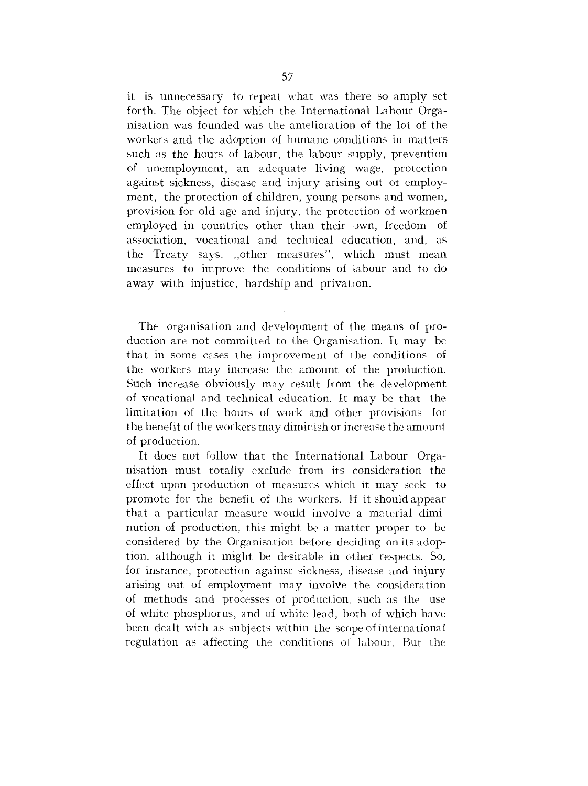it is unnecessary to repeat what was there so amply set forth. The object for which the International Labour Organisation was founded was the amelioration of *the* lot of the workers and the adoption of humane conditions in matters such as the hours of labour, the labour supply, prevention of unemployment, an adequate living wage, protection against sickness, disease and injury arising out of employment, the protection of children, young persons and women, provision for old age and injury, the protection of workmen employed in countries other than their own, freedom of association, vocational and technical education, and, as *the* Treaty says, ,other measures", which must mean measures *to* improve the conditions ot labour and to do away with injustice, hardship and privation.

The organisation and development of the means of production are not committed to the Organisation. It may be that in some cases the improvement of the conditions of *the* workers may increase the amount of the production. Such increase obviously may result from the development of vocational and technical education. It may be that the limitation of the hours of work and other provisions for the benefit of the workers may diminish or increase the amount of production.

It does not follow that the International Labour Organisation must totally exclude from its consideration the effect upon production of measures which it may seck to promote for the benefit of the workers. If it should appear that a particular measure would involve a material diminution of production, this might be a matter proper to be considered by the Organisation before deciding on its adoption, although it might be desirable in other respects. So, for instance, protection against sickness, disease and injury arising out of employment may involve the consideration of methods and processes of production, such as the use of white phosphorus, and of white lead, both of which have been dealt with as subjects within the scope of international regulation as affecting the conditions of labour. But the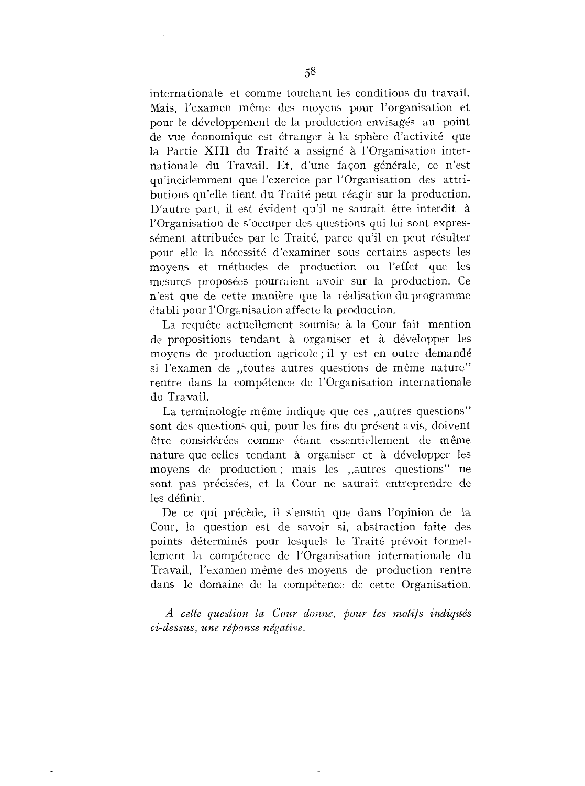internationale et comme touchant les conditions du travail. Mais, l'examen même des moyens pour l'organisation et pour le développement de la production envisagés au point de vue économique est étranger à la sphère d'activité que la Partie XIII du Traité a assigné à l'Organisation internationale du Travail. Et, d'une façon générale, ce n'est qu'incidemment que l'exercice par !'Organisation des attributions qu'elle tient du Traité peut réagir sur la production. D'autre part, il est évident qu'il ne saurait être interdit à !'Organisation de s'occuper des questions qui lui sont expressément attribuées par le Traité, parce qu'il en peut résulter pour elle la nécessité d'examiner sous certains aspects les moyens et methodes de production ou l'effet que les mesures proposées pourraient avoir sur la production. Ce n'est que de cette maniere que la realisation du programme etabli pour !'Organisation affecte la production.

La requête actuellement soumise à la Cour fait mention de propositions tendant à organiser et à développer les moyens de production agricole ; il y est en outre demande si l'examen de "toutes autres questions de même nature" rentre dans la compétence de l'Organisation internationale du Travail.

La terminologie même indique que ces , autres questions" sont des questions qui, pour les fins du present avis, doivent être considérées comme étant essentiellement de même nature que celles tendant à organiser et à développer les moyens de production ; mais les ,autres questions" ne sont pas précisées, et la Cour ne saurait entreprendre de les definir.

De ce qui précède, il s'ensuit que dans l'opinion de la Cour, la question est de savoir si, abstraction faite des points déterminés pour lesquels le Traité prévoit formellement la compétence de l'Organisation internationale du Travail, l'examen même des moyens de production rentre dans le domaine de la compétence de cette Organisation.

*A cette question la* C *our donne, pour les motifs indiques ci-dessus, une reponse negative.*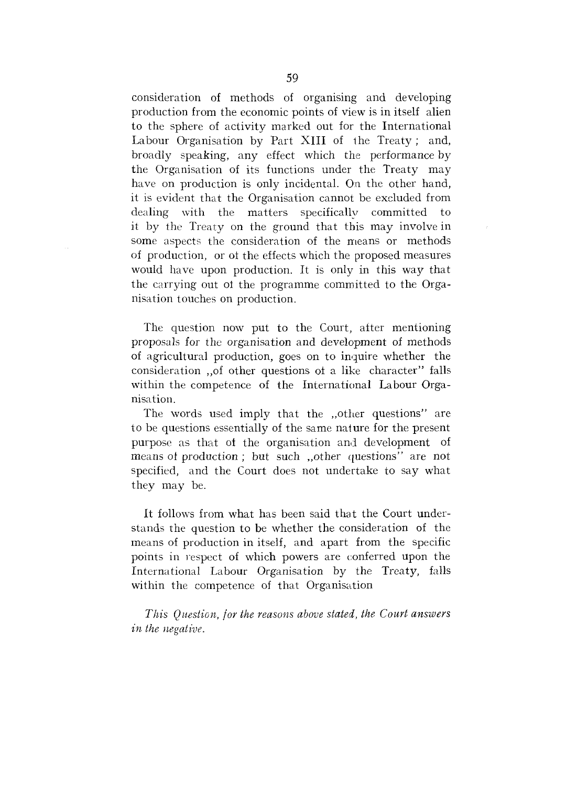consideration of methods of organising and developing production from the economic points of view is in itself alien to the sphere of activity marked out for the International Labour Organisation by Part **XIII** of the Treaty; and, broadly speaking, any effect which the performance by the Organisation of its functions under the Treaty may have on production is only incidental. On the other hand, it is evident that the Organisation cannot be excluded from dealing with the matters specifically committed to it by the Treaty on the ground that this may involve in some aspects the consideration of the means or methods of production, or of the effects which the proposed measures would have upon production. It is only in this way that the carrying out of the programme committed to the Organisation touches on production.

The question now put to the Court, after mentioning proposals for the organisation and development of methods of agricultural production, goes on to inquire whether the consideration , of other questions of a like character" falls within the competence of the International Labour Organisation.

The words used imply that the ,other questions" are to be questions essentially of the same nature for the present purpose as that of the organisation and development of means *ot* production ; but such ,other questions" are not specified, and the Court does not undertake to say what they may be.

It follows from what has been said that the Court understands the question to be whether the consideration of the means of production in itself, and apart from the specific points in respect of which powers are conferred upon the International Labour Organisation by the Treaty, falls within the competence of that Organisation

*This Question, jar the reasons above stated, the Court answers in the negative.*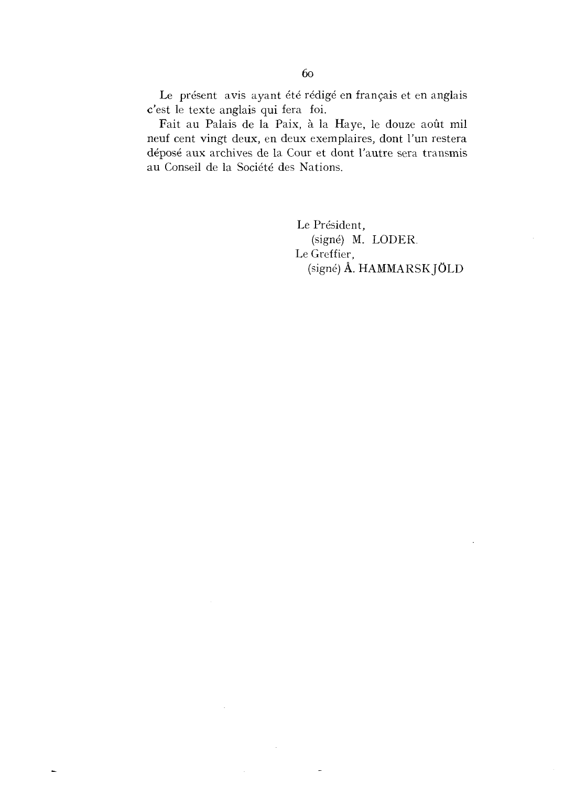Le présent avis ayant été rédigé en français et en anglais c'est le texte anglais qui fera foi.

Fait au Palais de la Paix, à la Haye, le douze août mil neuf cent vingt deux, en deux exemplaires, dont l'un restera depose aux archives de la Cour et dont l'autre sera transmis au Conseil de la Societe des Nations.

> Le Président, (signe) M. LODER Le Greffier, (signe) A. HAMMARSKJOLD